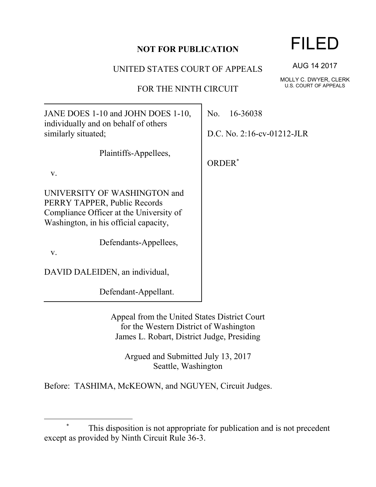## **NOT FOR PUBLICATION**

UNITED STATES COURT OF APPEALS

FOR THE NINTH CIRCUIT

JANE DOES 1-10 and JOHN DOES 1-10, individually and on behalf of others similarly situated;

Plaintiffs-Appellees,

v.

UNIVERSITY OF WASHINGTON and PERRY TAPPER, Public Records Compliance Officer at the University of Washington, in his official capacity,

Defendants-Appellees,

v.

 $\overline{a}$ 

DAVID DALEIDEN, an individual,

Defendant-Appellant.

Appeal from the United States District Court for the Western District of Washington James L. Robart, District Judge, Presiding

Argued and Submitted July 13, 2017 Seattle, Washington

Before: TASHIMA, McKEOWN, and NGUYEN, Circuit Judges.

No. 16-36038

D.C. No. 2:16-cv-01212-JLR

ORDER\*

AUG 14 2017

MOLLY C. DWYER, CLERK U.S. COURT OF APPEALS

FILED

This disposition is not appropriate for publication and is not precedent except as provided by Ninth Circuit Rule 36-3.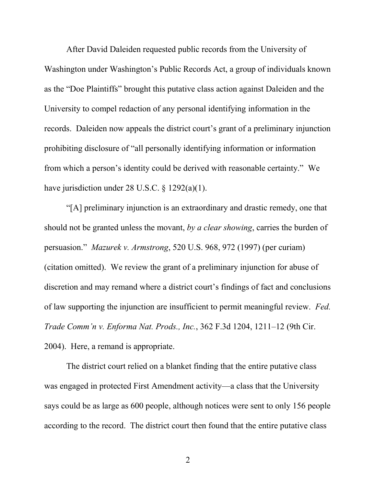After David Daleiden requested public records from the University of Washington under Washington's Public Records Act, a group of individuals known as the "Doe Plaintiffs" brought this putative class action against Daleiden and the University to compel redaction of any personal identifying information in the records. Daleiden now appeals the district court's grant of a preliminary injunction prohibiting disclosure of "all personally identifying information or information from which a person's identity could be derived with reasonable certainty." We have jurisdiction under 28 U.S.C. § 1292(a)(1).

"[A] preliminary injunction is an extraordinary and drastic remedy, one that should not be granted unless the movant, *by a clear showing*, carries the burden of persuasion." *Mazurek v. Armstrong*, 520 U.S. 968, 972 (1997) (per curiam) (citation omitted). We review the grant of a preliminary injunction for abuse of discretion and may remand where a district court's findings of fact and conclusions of law supporting the injunction are insufficient to permit meaningful review. *Fed. Trade Comm'n v. Enforma Nat. Prods., Inc.*, 362 F.3d 1204, 1211–12 (9th Cir. 2004). Here, a remand is appropriate.

The district court relied on a blanket finding that the entire putative class was engaged in protected First Amendment activity—a class that the University says could be as large as 600 people, although notices were sent to only 156 people according to the record.The district court then found that the entire putative class

2 a set of  $\sim$  2 a set of  $\sim$  2 a set of  $\sim$  2 a set of  $\sim$  3 a set of  $\sim$  3 a set of  $\sim$  3 a set of  $\sim$  3 a set of  $\sim$  3 a set of  $\sim$  3 a set of  $\sim$  3 a set of  $\sim$  3 a set of  $\sim$  3 a set of  $\sim$  3 a set of  $\sim$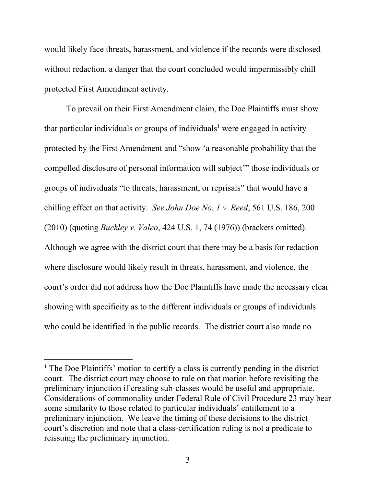would likely face threats, harassment, and violence if the records were disclosed without redaction, a danger that the court concluded would impermissibly chill protected First Amendment activity.

To prevail on their First Amendment claim, the Doe Plaintiffs must show that particular individuals or groups of individuals<sup>1</sup> were engaged in activity protected by the First Amendment and "show 'a reasonable probability that the compelled disclosure of personal information will subject'" those individuals or groups of individuals "to threats, harassment, or reprisals" that would have a chilling effect on that activity. *See John Doe No. 1 v. Reed*, 561 U.S. 186, 200 (2010) (quoting *Buckley v. Valeo*, 424 U.S. 1, 74 (1976)) (brackets omitted). Although we agree with the district court that there may be a basis for redaction where disclosure would likely result in threats, harassment, and violence, the court's order did not address how the Doe Plaintiffs have made the necessary clear showing with specificity as to the different individuals or groups of individuals who could be identified in the public records. The district court also made no

l

 $<sup>1</sup>$  The Doe Plaintiffs' motion to certify a class is currently pending in the district</sup> court. The district court may choose to rule on that motion before revisiting the preliminary injunction if creating sub-classes would be useful and appropriate. Considerations of commonality under Federal Rule of Civil Procedure 23 may bear some similarity to those related to particular individuals' entitlement to a preliminary injunction. We leave the timing of these decisions to the district court's discretion and note that a class-certification ruling is not a predicate to reissuing the preliminary injunction.